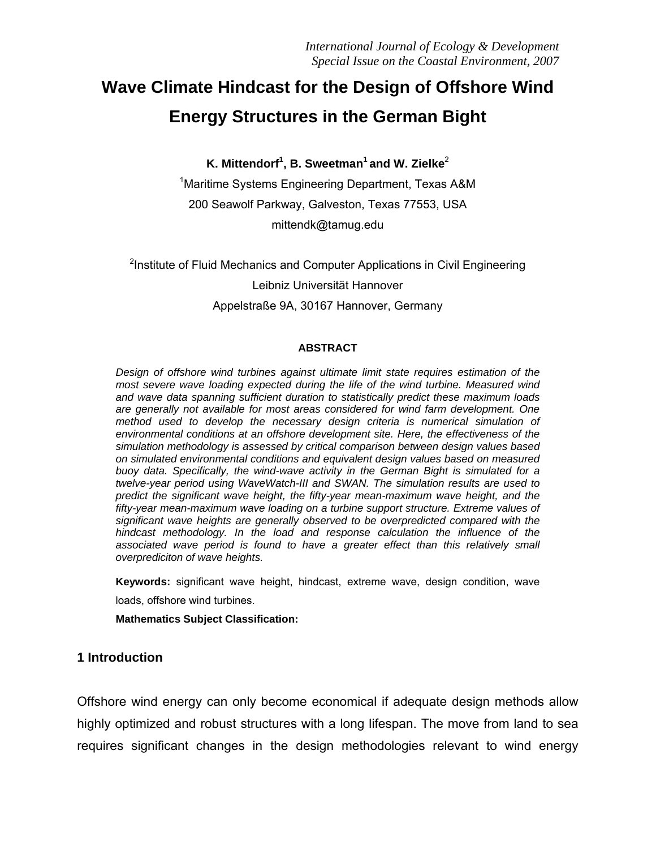# **Wave Climate Hindcast for the Design of Offshore Wind Energy Structures in the German Bight**

**K. Mittendorf1 , B. Sweetman<sup>1</sup> and W. Zielke**<sup>2</sup>

<sup>1</sup>Maritime Systems Engineering Department, Texas A&M 200 Seawolf Parkway, Galveston, Texas 77553, USA mittendk@tamug.edu

<sup>2</sup>Institute of Fluid Mechanics and Computer Applications in Civil Engineering Leibniz Universität Hannover Appelstraße 9A, 30167 Hannover, Germany

#### **ABSTRACT**

*Design of offshore wind turbines against ultimate limit state requires estimation of the most severe wave loading expected during the life of the wind turbine. Measured wind and wave data spanning sufficient duration to statistically predict these maximum loads are generally not available for most areas considered for wind farm development. One method used to develop the necessary design criteria is numerical simulation of environmental conditions at an offshore development site. Here, the effectiveness of the simulation methodology is assessed by critical comparison between design values based on simulated environmental conditions and equivalent design values based on measured buoy data. Specifically, the wind-wave activity in the German Bight is simulated for a twelve-year period using WaveWatch-III and SWAN. The simulation results are used to predict the significant wave height, the fifty-year mean-maximum wave height, and the fifty-year mean-maximum wave loading on a turbine support structure. Extreme values of significant wave heights are generally observed to be overpredicted compared with the hindcast methodology. In the load and response calculation the influence of the*  associated wave period is found to have a greater effect than this relatively small *overprediciton of wave heights.* 

**Keywords:** significant wave height, hindcast, extreme wave, design condition, wave loads, offshore wind turbines.

**Mathematics Subject Classification:** 

### **1 Introduction**

Offshore wind energy can only become economical if adequate design methods allow highly optimized and robust structures with a long lifespan. The move from land to sea requires significant changes in the design methodologies relevant to wind energy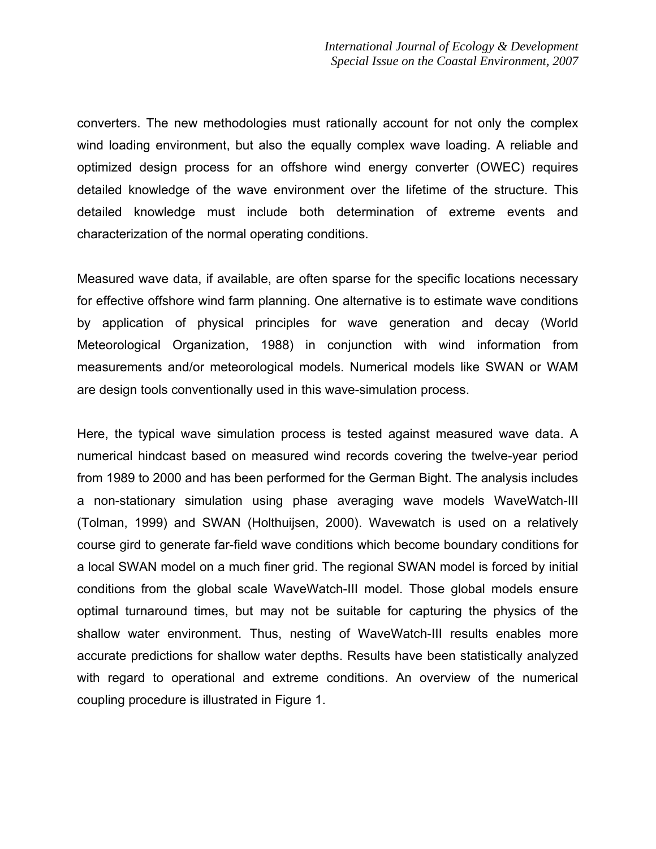converters. The new methodologies must rationally account for not only the complex wind loading environment, but also the equally complex wave loading. A reliable and optimized design process for an offshore wind energy converter (OWEC) requires detailed knowledge of the wave environment over the lifetime of the structure. This detailed knowledge must include both determination of extreme events and characterization of the normal operating conditions.

Measured wave data, if available, are often sparse for the specific locations necessary for effective offshore wind farm planning. One alternative is to estimate wave conditions by application of physical principles for wave generation and decay (World Meteorological Organization, 1988) in conjunction with wind information from measurements and/or meteorological models. Numerical models like SWAN or WAM are design tools conventionally used in this wave-simulation process.

Here, the typical wave simulation process is tested against measured wave data. A numerical hindcast based on measured wind records covering the twelve-year period from 1989 to 2000 and has been performed for the German Bight. The analysis includes a non-stationary simulation using phase averaging wave models WaveWatch-III (Tolman, 1999) and SWAN (Holthuijsen, 2000). Wavewatch is used on a relatively course gird to generate far-field wave conditions which become boundary conditions for a local SWAN model on a much finer grid. The regional SWAN model is forced by initial conditions from the global scale WaveWatch-III model. Those global models ensure optimal turnaround times, but may not be suitable for capturing the physics of the shallow water environment. Thus, nesting of WaveWatch-III results enables more accurate predictions for shallow water depths. Results have been statistically analyzed with regard to operational and extreme conditions. An overview of the numerical coupling procedure is illustrated in Figure 1.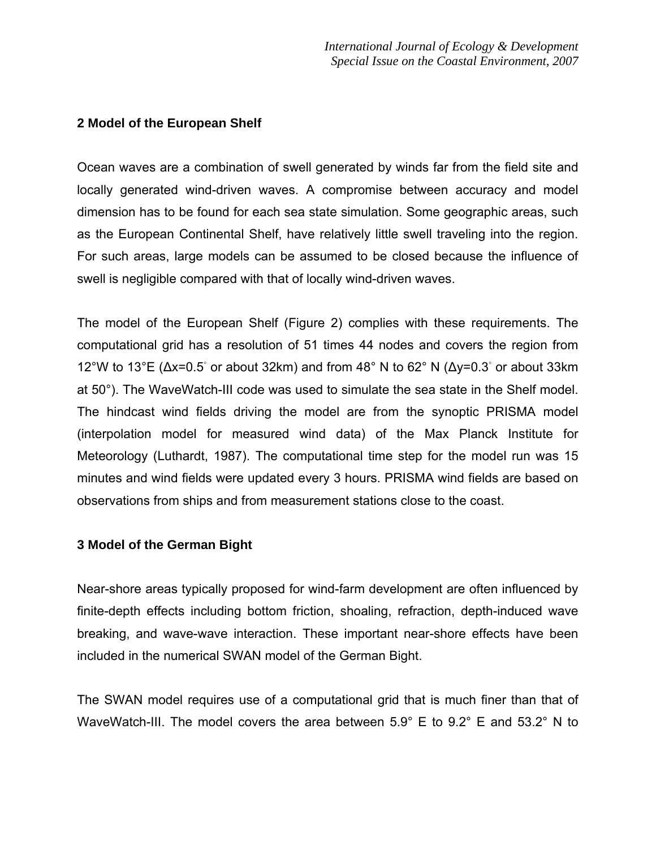# **2 Model of the European Shelf**

Ocean waves are a combination of swell generated by winds far from the field site and locally generated wind-driven waves. A compromise between accuracy and model dimension has to be found for each sea state simulation. Some geographic areas, such as the European Continental Shelf, have relatively little swell traveling into the region. For such areas, large models can be assumed to be closed because the influence of swell is negligible compared with that of locally wind-driven waves.

The model of the European Shelf (Figure 2) complies with these requirements. The computational grid has a resolution of 51 times 44 nodes and covers the region from 12°W to 13°E ( $\Delta x$ =0.5° or about 32km) and from 48°N to 62°N ( $\Delta y$ =0.3° or about 33km at 50°). The WaveWatch-III code was used to simulate the sea state in the Shelf model. The hindcast wind fields driving the model are from the synoptic PRISMA model (interpolation model for measured wind data) of the Max Planck Institute for Meteorology (Luthardt, 1987). The computational time step for the model run was 15 minutes and wind fields were updated every 3 hours. PRISMA wind fields are based on observations from ships and from measurement stations close to the coast.

# **3 Model of the German Bight**

Near-shore areas typically proposed for wind-farm development are often influenced by finite-depth effects including bottom friction, shoaling, refraction, depth-induced wave breaking, and wave-wave interaction. These important near-shore effects have been included in the numerical SWAN model of the German Bight.

The SWAN model requires use of a computational grid that is much finer than that of WaveWatch-III. The model covers the area between 5.9° E to 9.2° E and 53.2° N to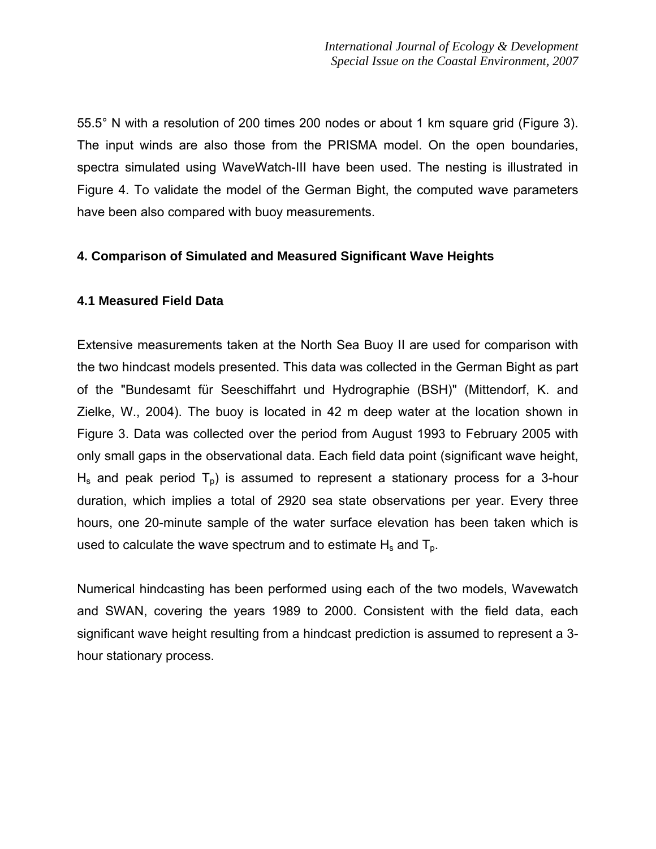55.5° N with a resolution of 200 times 200 nodes or about 1 km square grid (Figure 3). The input winds are also those from the PRISMA model. On the open boundaries, spectra simulated using WaveWatch-III have been used. The nesting is illustrated in Figure 4. To validate the model of the German Bight, the computed wave parameters have been also compared with buoy measurements.

# **4. Comparison of Simulated and Measured Significant Wave Heights**

# **4.1 Measured Field Data**

Extensive measurements taken at the North Sea Buoy II are used for comparison with the two hindcast models presented. This data was collected in the German Bight as part of the "Bundesamt für Seeschiffahrt und Hydrographie (BSH)" (Mittendorf, K. and Zielke, W., 2004). The buoy is located in 42 m deep water at the location shown in Figure 3. Data was collected over the period from August 1993 to February 2005 with only small gaps in the observational data. Each field data point (significant wave height,  $H_s$  and peak period  $T_p$ ) is assumed to represent a stationary process for a 3-hour duration, which implies a total of 2920 sea state observations per year. Every three hours, one 20-minute sample of the water surface elevation has been taken which is used to calculate the wave spectrum and to estimate  $H_s$  and  $T_p$ .

Numerical hindcasting has been performed using each of the two models, Wavewatch and SWAN, covering the years 1989 to 2000. Consistent with the field data, each significant wave height resulting from a hindcast prediction is assumed to represent a 3 hour stationary process.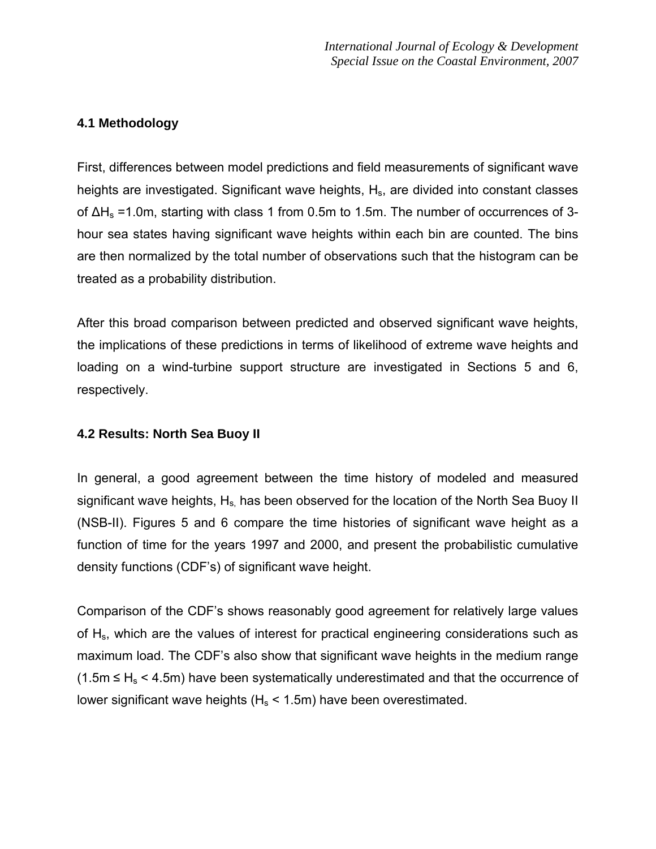# **4.1 Methodology**

First, differences between model predictions and field measurements of significant wave heights are investigated. Significant wave heights, H<sub>s</sub>, are divided into constant classes of  $ΔH_s = 1.0m$ , starting with class 1 from 0.5m to 1.5m. The number of occurrences of 3hour sea states having significant wave heights within each bin are counted. The bins are then normalized by the total number of observations such that the histogram can be treated as a probability distribution.

After this broad comparison between predicted and observed significant wave heights, the implications of these predictions in terms of likelihood of extreme wave heights and loading on a wind-turbine support structure are investigated in Sections 5 and 6, respectively.

# **4.2 Results: North Sea Buoy II**

In general, a good agreement between the time history of modeled and measured significant wave heights,  $H_s$  has been observed for the location of the North Sea Buoy II (NSB-II). Figures 5 and 6 compare the time histories of significant wave height as a function of time for the years 1997 and 2000, and present the probabilistic cumulative density functions (CDF's) of significant wave height.

Comparison of the CDF's shows reasonably good agreement for relatively large values of H<sub>s</sub>, which are the values of interest for practical engineering considerations such as maximum load. The CDF's also show that significant wave heights in the medium range  $(1.5m \leq H_s \leq 4.5m)$  have been systematically underestimated and that the occurrence of lower significant wave heights ( $H_s$  < 1.5m) have been overestimated.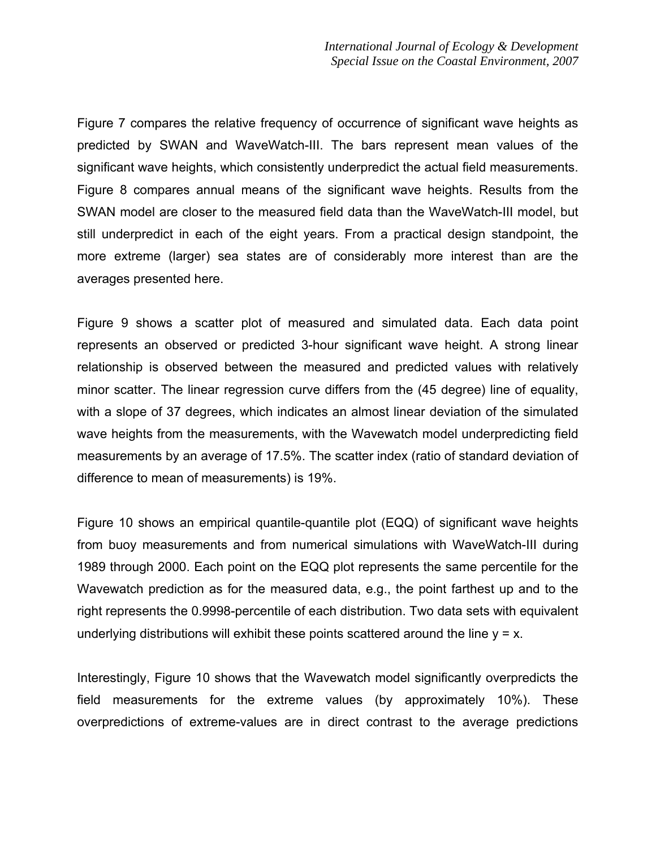Figure 7 compares the relative frequency of occurrence of significant wave heights as predicted by SWAN and WaveWatch-III. The bars represent mean values of the significant wave heights, which consistently underpredict the actual field measurements. Figure 8 compares annual means of the significant wave heights. Results from the SWAN model are closer to the measured field data than the WaveWatch-III model, but still underpredict in each of the eight years. From a practical design standpoint, the more extreme (larger) sea states are of considerably more interest than are the averages presented here.

Figure 9 shows a scatter plot of measured and simulated data. Each data point represents an observed or predicted 3-hour significant wave height. A strong linear relationship is observed between the measured and predicted values with relatively minor scatter. The linear regression curve differs from the (45 degree) line of equality, with a slope of 37 degrees, which indicates an almost linear deviation of the simulated wave heights from the measurements, with the Wavewatch model underpredicting field measurements by an average of 17.5%. The scatter index (ratio of standard deviation of difference to mean of measurements) is 19%.

Figure 10 shows an empirical quantile-quantile plot (EQQ) of significant wave heights from buoy measurements and from numerical simulations with WaveWatch-III during 1989 through 2000. Each point on the EQQ plot represents the same percentile for the Wavewatch prediction as for the measured data, e.g., the point farthest up and to the right represents the 0.9998-percentile of each distribution. Two data sets with equivalent underlying distributions will exhibit these points scattered around the line  $y = x$ .

Interestingly, Figure 10 shows that the Wavewatch model significantly overpredicts the field measurements for the extreme values (by approximately 10%). These overpredictions of extreme-values are in direct contrast to the average predictions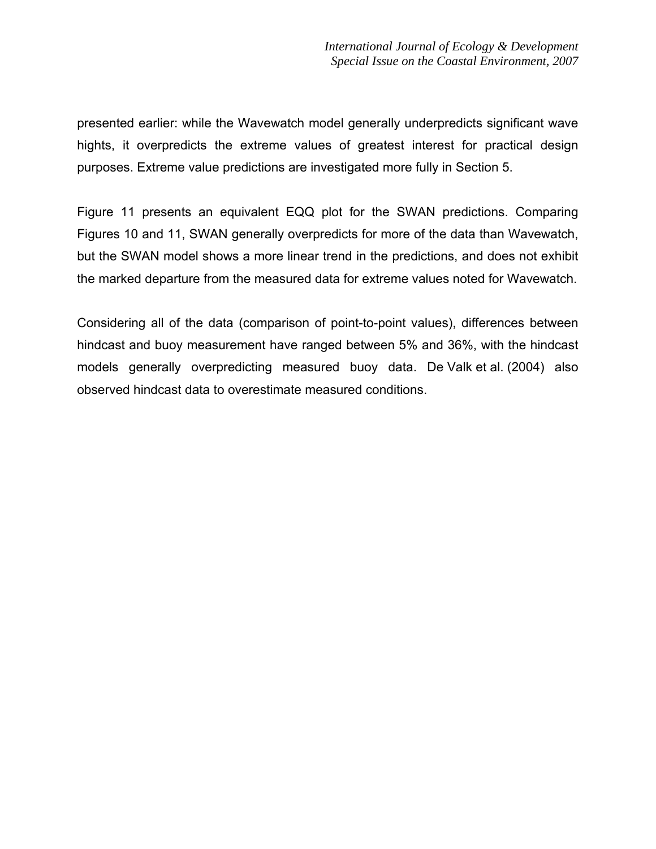presented earlier: while the Wavewatch model generally underpredicts significant wave hights, it overpredicts the extreme values of greatest interest for practical design purposes. Extreme value predictions are investigated more fully in Section 5.

Figure 11 presents an equivalent EQQ plot for the SWAN predictions. Comparing Figures 10 and 11, SWAN generally overpredicts for more of the data than Wavewatch, but the SWAN model shows a more linear trend in the predictions, and does not exhibit the marked departure from the measured data for extreme values noted for Wavewatch.

Considering all of the data (comparison of point-to-point values), differences between hindcast and buoy measurement have ranged between 5% and 36%, with the hindcast models generally overpredicting measured buoy data. De Valk et al. (2004) also observed hindcast data to overestimate measured conditions.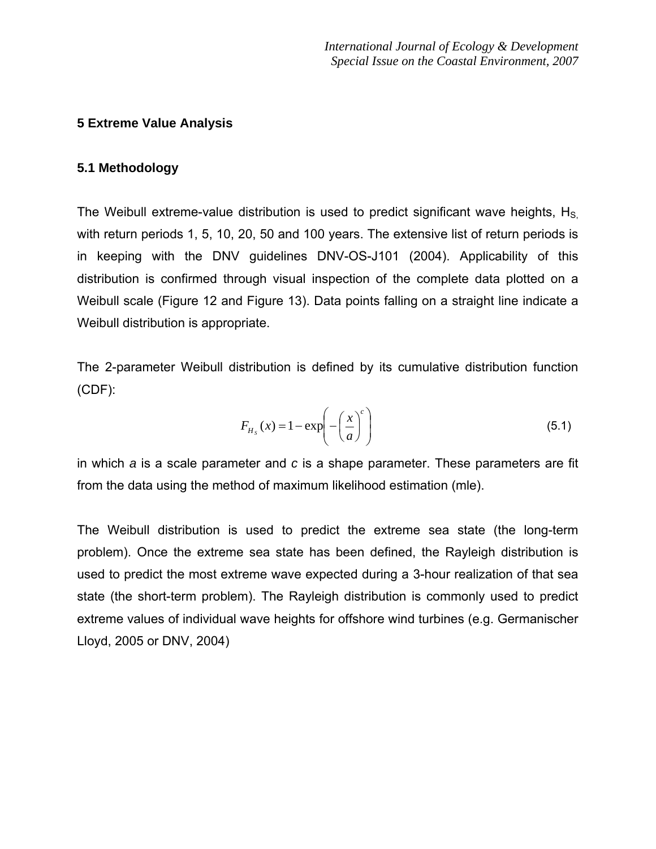# **5 Extreme Value Analysis**

## **5.1 Methodology**

The Weibull extreme-value distribution is used to predict significant wave heights,  $H<sub>S</sub>$ with return periods 1, 5, 10, 20, 50 and 100 years. The extensive list of return periods is in keeping with the DNV guidelines DNV-OS-J101 (2004). Applicability of this distribution is confirmed through visual inspection of the complete data plotted on a Weibull scale (Figure 12 and Figure 13). Data points falling on a straight line indicate a Weibull distribution is appropriate.

The 2-parameter Weibull distribution is defined by its cumulative distribution function (CDF):

$$
F_{H_s}(x) = 1 - \exp\left(-\left(\frac{x}{a}\right)^c\right) \tag{5.1}
$$

in which *a* is a scale parameter and *c* is a shape parameter. These parameters are fit from the data using the method of maximum likelihood estimation (mle).

The Weibull distribution is used to predict the extreme sea state (the long-term problem). Once the extreme sea state has been defined, the Rayleigh distribution is used to predict the most extreme wave expected during a 3-hour realization of that sea state (the short-term problem). The Rayleigh distribution is commonly used to predict extreme values of individual wave heights for offshore wind turbines (e.g. Germanischer Lloyd, 2005 or DNV, 2004)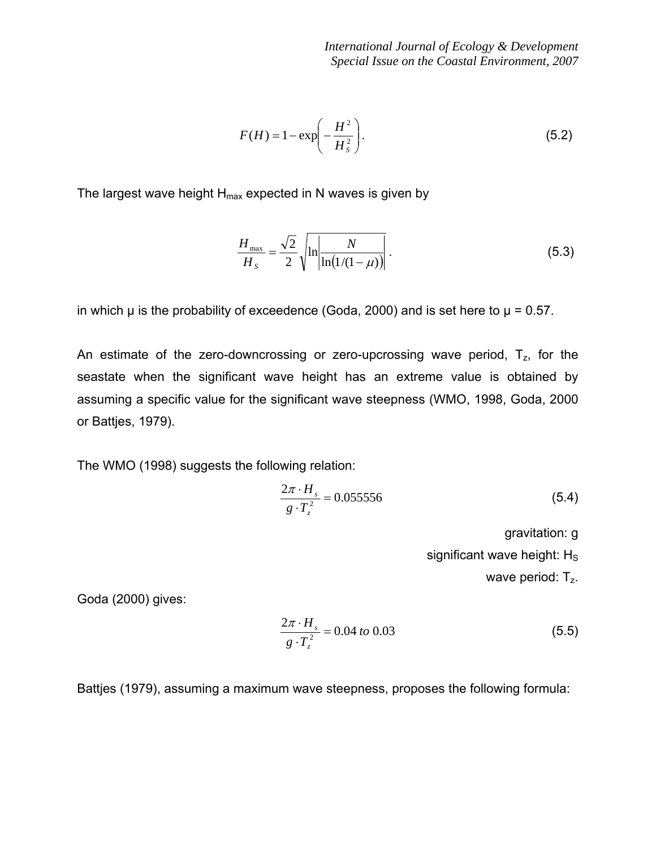$$
F(H) = 1 - \exp\left(-\frac{H^2}{H_s^2}\right).
$$
\n
$$
(5.2)
$$

The largest wave height  $H_{max}$  expected in N waves is given by

$$
\frac{H_{\text{max}}}{H_s} = \frac{\sqrt{2}}{2} \sqrt{\ln \left| \frac{N}{\ln(1/(1-\mu))} \right|} \,. \tag{5.3}
$$

in which  $\mu$  is the probability of exceedence (Goda, 2000) and is set here to  $\mu$  = 0.57.

An estimate of the zero-downcrossing or zero-upcrossing wave period,  $T_{z}$ , for the seastate when the significant wave height has an extreme value is obtained by assuming a specific value for the significant wave steepness (WMO, 1998, Goda, 2000 or Battjes, 1979).

The WMO (1998) suggests the following relation:

$$
\frac{2\pi \cdot H_s}{g \cdot T_z^2} = 0.055556\tag{5.4}
$$

gravitation: g

significant wave height:  $H_S$ 

wave period: T<sub>z</sub>.

Goda (2000) gives:

$$
\frac{2\pi \cdot H_s}{g \cdot T_z^2} = 0.04 \text{ to } 0.03 \tag{5.5}
$$

Battjes (1979), assuming a maximum wave steepness, proposes the following formula: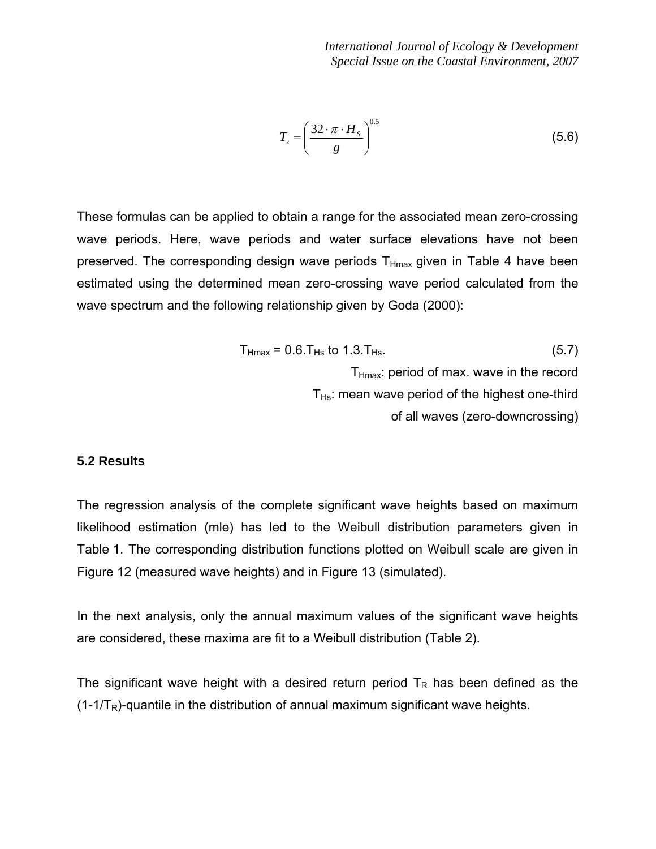$$
T_z = \left(\frac{32 \cdot \pi \cdot H_s}{g}\right)^{0.5} \tag{5.6}
$$

These formulas can be applied to obtain a range for the associated mean zero-crossing wave periods. Here, wave periods and water surface elevations have not been preserved. The corresponding design wave periods  $T_{Hmax}$  given in Table 4 have been estimated using the determined mean zero-crossing wave period calculated from the wave spectrum and the following relationship given by Goda (2000):

$$
T_{Hmax} = 0.6.T_{Hs} \text{ to } 1.3.T_{Hs}.
$$
\n
$$
T_{Hmax}: period \text{ of max. wave in the record}
$$
\n
$$
T_{Hs}: mean \text{ wave period of the highest one-third of all waves (zero-down crossing)}
$$

### **5.2 Results**

The regression analysis of the complete significant wave heights based on maximum likelihood estimation (mle) has led to the Weibull distribution parameters given in Table 1. The corresponding distribution functions plotted on Weibull scale are given in Figure 12 (measured wave heights) and in Figure 13 (simulated).

In the next analysis, only the annual maximum values of the significant wave heights are considered, these maxima are fit to a Weibull distribution (Table 2).

The significant wave height with a desired return period  $T_R$  has been defined as the  $(1-1/T_R)$ -quantile in the distribution of annual maximum significant wave heights.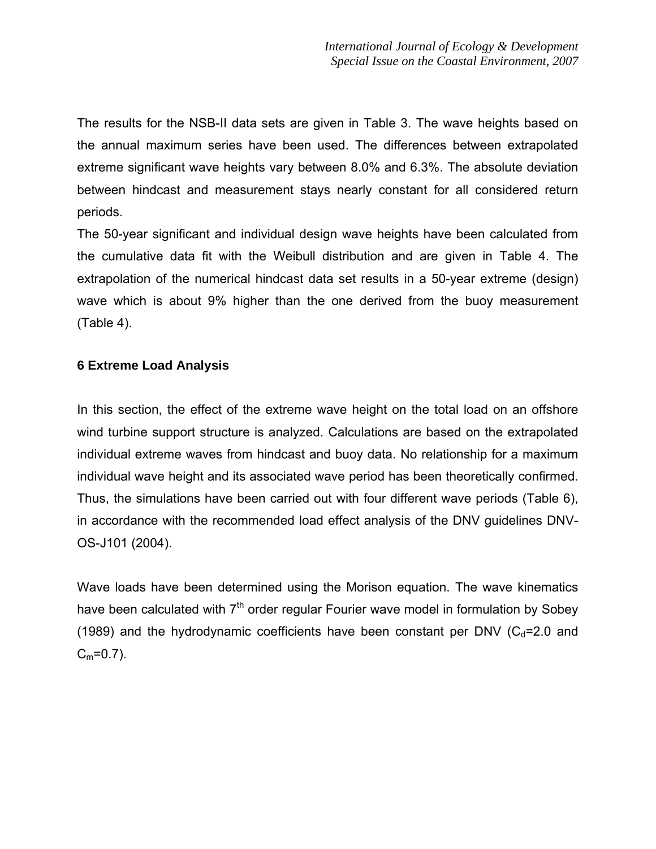The results for the NSB-II data sets are given in Table 3. The wave heights based on the annual maximum series have been used. The differences between extrapolated extreme significant wave heights vary between 8.0% and 6.3%. The absolute deviation between hindcast and measurement stays nearly constant for all considered return periods.

The 50-year significant and individual design wave heights have been calculated from the cumulative data fit with the Weibull distribution and are given in Table 4. The extrapolation of the numerical hindcast data set results in a 50-year extreme (design) wave which is about 9% higher than the one derived from the buoy measurement (Table 4).

# **6 Extreme Load Analysis**

In this section, the effect of the extreme wave height on the total load on an offshore wind turbine support structure is analyzed. Calculations are based on the extrapolated individual extreme waves from hindcast and buoy data. No relationship for a maximum individual wave height and its associated wave period has been theoretically confirmed. Thus, the simulations have been carried out with four different wave periods (Table 6), in accordance with the recommended load effect analysis of the DNV guidelines DNV-OS-J101 (2004).

Wave loads have been determined using the Morison equation. The wave kinematics have been calculated with  $7<sup>th</sup>$  order regular Fourier wave model in formulation by Sobey (1989) and the hydrodynamic coefficients have been constant per DNV ( $C<sub>d</sub>=2.0$  and  $C_m = 0.7$ ).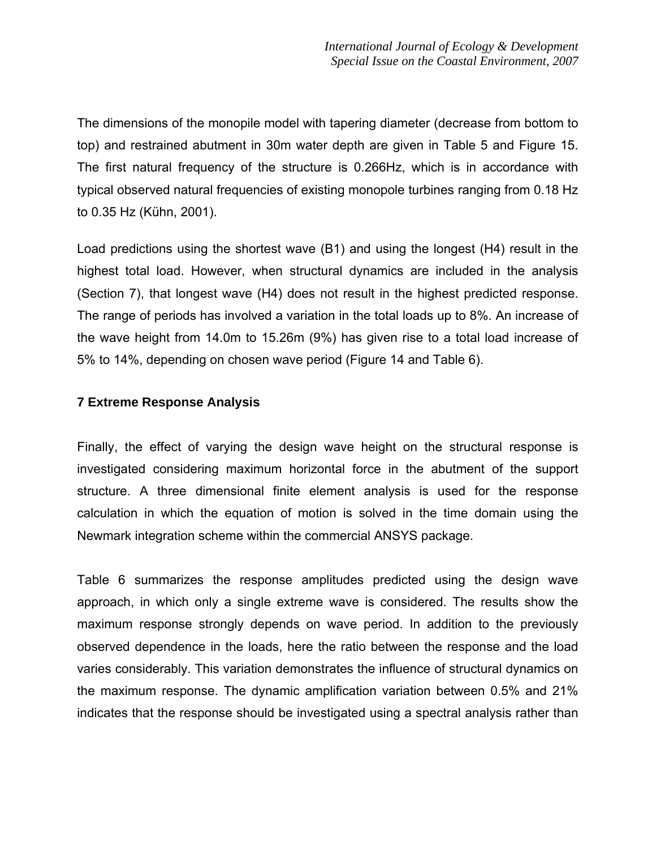The dimensions of the monopile model with tapering diameter (decrease from bottom to top) and restrained abutment in 30m water depth are given in Table 5 and Figure 15. The first natural frequency of the structure is 0.266Hz, which is in accordance with typical observed natural frequencies of existing monopole turbines ranging from 0.18 Hz to 0.35 Hz (Kühn, 2001).

Load predictions using the shortest wave (B1) and using the longest (H4) result in the highest total load. However, when structural dynamics are included in the analysis (Section 7), that longest wave (H4) does not result in the highest predicted response. The range of periods has involved a variation in the total loads up to 8%. An increase of the wave height from 14.0m to 15.26m (9%) has given rise to a total load increase of 5% to 14%, depending on chosen wave period (Figure 14 and Table 6).

# **7 Extreme Response Analysis**

Finally, the effect of varying the design wave height on the structural response is investigated considering maximum horizontal force in the abutment of the support structure. A three dimensional finite element analysis is used for the response calculation in which the equation of motion is solved in the time domain using the Newmark integration scheme within the commercial ANSYS package.

Table 6 summarizes the response amplitudes predicted using the design wave approach, in which only a single extreme wave is considered. The results show the maximum response strongly depends on wave period. In addition to the previously observed dependence in the loads, here the ratio between the response and the load varies considerably. This variation demonstrates the influence of structural dynamics on the maximum response. The dynamic amplification variation between 0.5% and 21% indicates that the response should be investigated using a spectral analysis rather than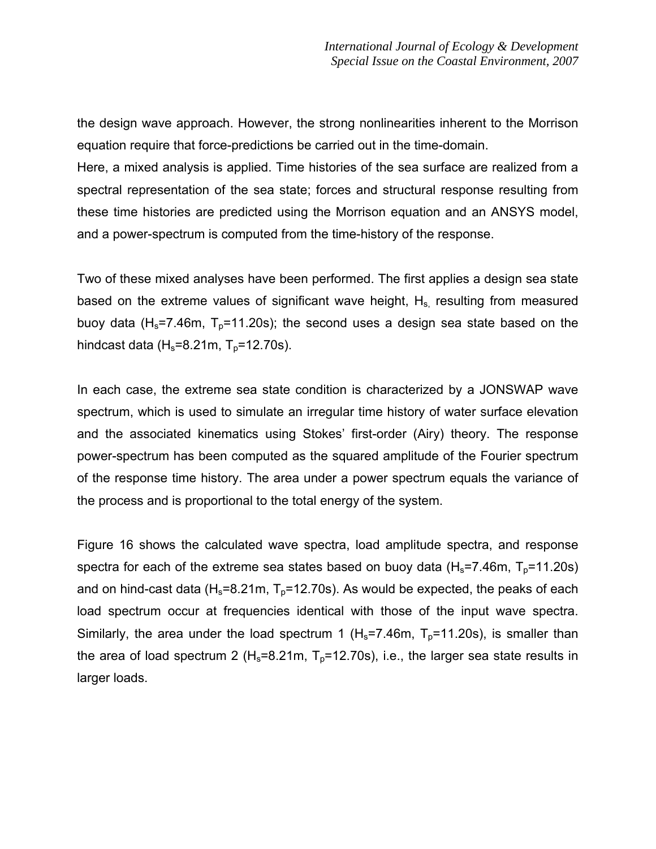the design wave approach. However, the strong nonlinearities inherent to the Morrison equation require that force-predictions be carried out in the time-domain.

Here, a mixed analysis is applied. Time histories of the sea surface are realized from a spectral representation of the sea state; forces and structural response resulting from these time histories are predicted using the Morrison equation and an ANSYS model, and a power-spectrum is computed from the time-history of the response.

Two of these mixed analyses have been performed. The first applies a design sea state based on the extreme values of significant wave height,  $H_s$  resulting from measured buoy data (H<sub>s</sub>=7.46m, T<sub>p</sub>=11.20s); the second uses a design sea state based on the hindcast data  $(H_s=8.21m, T_p=12.70s)$ .

In each case, the extreme sea state condition is characterized by a JONSWAP wave spectrum, which is used to simulate an irregular time history of water surface elevation and the associated kinematics using Stokes' first-order (Airy) theory. The response power-spectrum has been computed as the squared amplitude of the Fourier spectrum of the response time history. The area under a power spectrum equals the variance of the process and is proportional to the total energy of the system.

Figure 16 shows the calculated wave spectra, load amplitude spectra, and response spectra for each of the extreme sea states based on buoy data  $(H_s=7.46m, T_p=11.20s)$ and on hind-cast data (H<sub>s</sub>=8.21m, T<sub>p</sub>=12.70s). As would be expected, the peaks of each load spectrum occur at frequencies identical with those of the input wave spectra. Similarly, the area under the load spectrum 1 ( $H_s$ =7.46m,  $T_p$ =11.20s), is smaller than the area of load spectrum 2 ( $H_s$ =8.21m,  $T_p$ =12.70s), i.e., the larger sea state results in larger loads.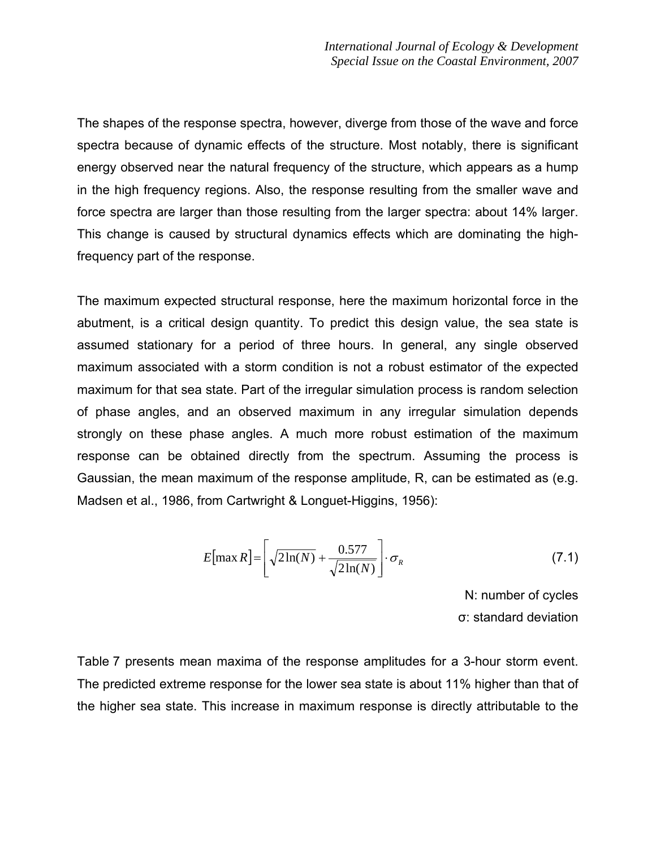The shapes of the response spectra, however, diverge from those of the wave and force spectra because of dynamic effects of the structure. Most notably, there is significant energy observed near the natural frequency of the structure, which appears as a hump in the high frequency regions. Also, the response resulting from the smaller wave and force spectra are larger than those resulting from the larger spectra: about 14% larger. This change is caused by structural dynamics effects which are dominating the highfrequency part of the response.

The maximum expected structural response, here the maximum horizontal force in the abutment, is a critical design quantity. To predict this design value, the sea state is assumed stationary for a period of three hours. In general, any single observed maximum associated with a storm condition is not a robust estimator of the expected maximum for that sea state. Part of the irregular simulation process is random selection of phase angles, and an observed maximum in any irregular simulation depends strongly on these phase angles. A much more robust estimation of the maximum response can be obtained directly from the spectrum. Assuming the process is Gaussian, the mean maximum of the response amplitude, R, can be estimated as (e.g. Madsen et al., 1986, from Cartwright & Longuet-Higgins, 1956):

$$
E[\max R] = \left[\sqrt{2\ln(N)} + \frac{0.577}{\sqrt{2\ln(N)}}\right] \cdot \sigma_R
$$
\n(7.1)

N: number of cycles σ: standard deviation

Table 7 presents mean maxima of the response amplitudes for a 3-hour storm event. The predicted extreme response for the lower sea state is about 11% higher than that of the higher sea state. This increase in maximum response is directly attributable to the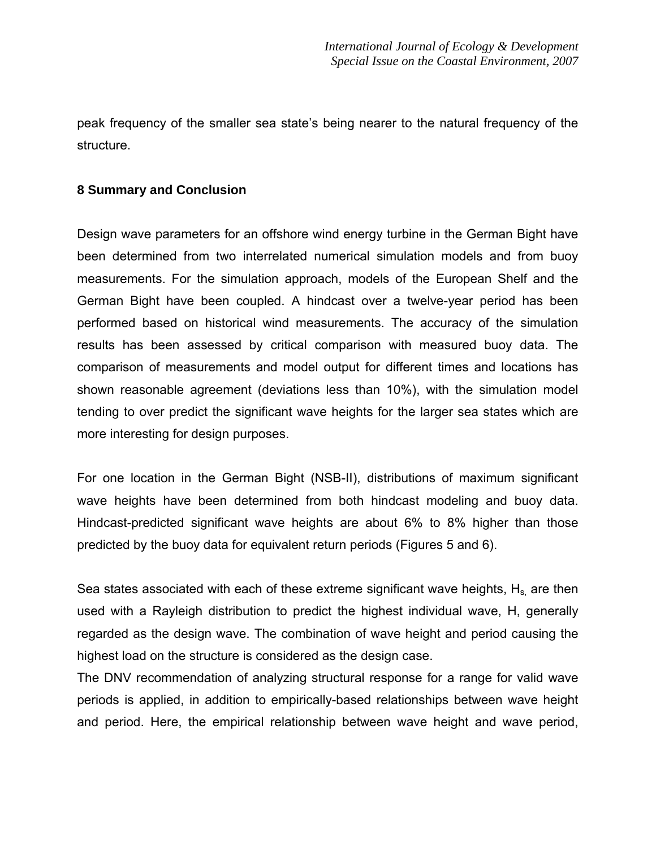peak frequency of the smaller sea state's being nearer to the natural frequency of the structure.

## **8 Summary and Conclusion**

Design wave parameters for an offshore wind energy turbine in the German Bight have been determined from two interrelated numerical simulation models and from buoy measurements. For the simulation approach, models of the European Shelf and the German Bight have been coupled. A hindcast over a twelve-year period has been performed based on historical wind measurements. The accuracy of the simulation results has been assessed by critical comparison with measured buoy data. The comparison of measurements and model output for different times and locations has shown reasonable agreement (deviations less than 10%), with the simulation model tending to over predict the significant wave heights for the larger sea states which are more interesting for design purposes.

For one location in the German Bight (NSB-II), distributions of maximum significant wave heights have been determined from both hindcast modeling and buoy data. Hindcast-predicted significant wave heights are about 6% to 8% higher than those predicted by the buoy data for equivalent return periods (Figures 5 and 6).

Sea states associated with each of these extreme significant wave heights,  $H_s$  are then used with a Rayleigh distribution to predict the highest individual wave, H, generally regarded as the design wave. The combination of wave height and period causing the highest load on the structure is considered as the design case.

The DNV recommendation of analyzing structural response for a range for valid wave periods is applied, in addition to empirically-based relationships between wave height and period. Here, the empirical relationship between wave height and wave period,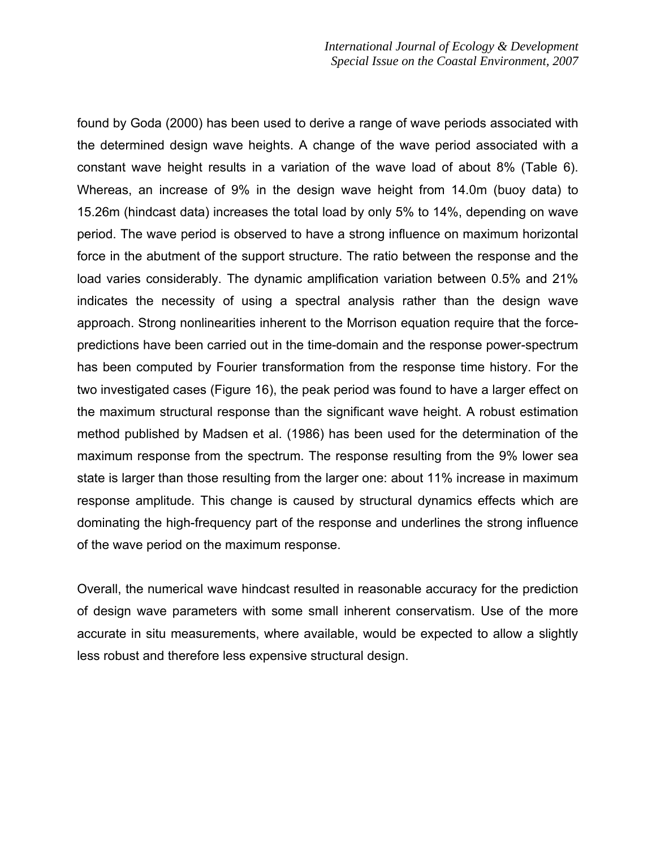found by Goda (2000) has been used to derive a range of wave periods associated with the determined design wave heights. A change of the wave period associated with a constant wave height results in a variation of the wave load of about 8% (Table 6). Whereas, an increase of 9% in the design wave height from 14.0m (buoy data) to 15.26m (hindcast data) increases the total load by only 5% to 14%, depending on wave period. The wave period is observed to have a strong influence on maximum horizontal force in the abutment of the support structure. The ratio between the response and the load varies considerably. The dynamic amplification variation between 0.5% and 21% indicates the necessity of using a spectral analysis rather than the design wave approach. Strong nonlinearities inherent to the Morrison equation require that the forcepredictions have been carried out in the time-domain and the response power-spectrum has been computed by Fourier transformation from the response time history. For the two investigated cases (Figure 16), the peak period was found to have a larger effect on the maximum structural response than the significant wave height. A robust estimation method published by Madsen et al. (1986) has been used for the determination of the maximum response from the spectrum. The response resulting from the 9% lower sea state is larger than those resulting from the larger one: about 11% increase in maximum response amplitude. This change is caused by structural dynamics effects which are dominating the high-frequency part of the response and underlines the strong influence of the wave period on the maximum response.

Overall, the numerical wave hindcast resulted in reasonable accuracy for the prediction of design wave parameters with some small inherent conservatism. Use of the more accurate in situ measurements, where available, would be expected to allow a slightly less robust and therefore less expensive structural design.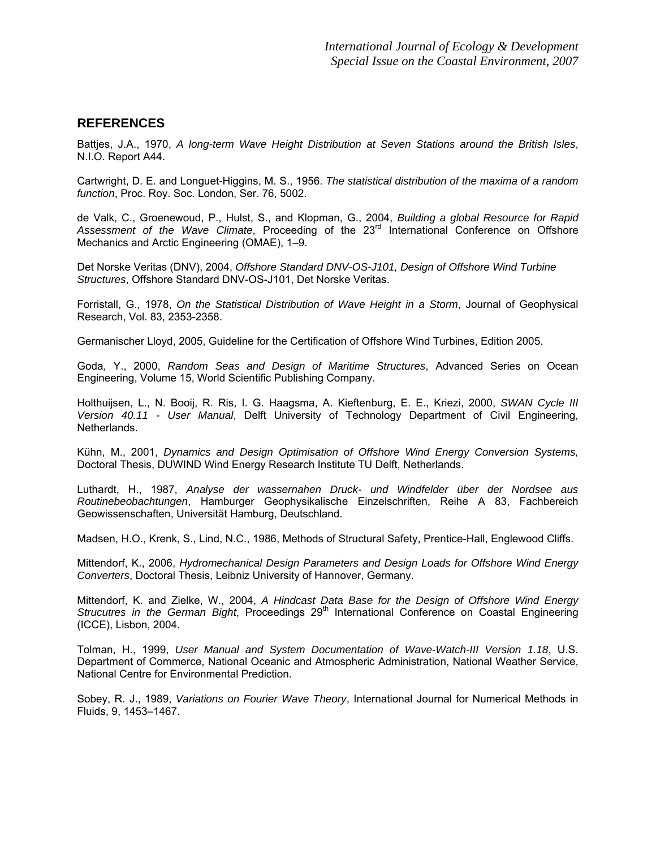#### **REFERENCES**

Battjes, J.A., 1970, *A long-term Wave Height Distribution at Seven Stations around the British Isles*, N.I.O. Report A44.

Cartwright, D. E. and Longuet-Higgins, M. S., 1956. *The statistical distribution of the maxima of a random function*, Proc. Roy. Soc. London, Ser. 76, 5002.

de Valk, C., Groenewoud, P., Hulst, S., and Klopman, G., 2004, *Building a global Resource for Rapid*  Assessment of the Wave Climate, Proceeding of the 23<sup>rd</sup> International Conference on Offshore Mechanics and Arctic Engineering (OMAE), 1–9.

Det Norske Veritas (DNV), 2004, *Offshore Standard DNV-OS-J101, Design of Offshore Wind Turbine Structures*, Offshore Standard DNV-OS-J101, Det Norske Veritas.

Forristall, G., 1978, *On the Statistical Distribution of Wave Height in a Storm*, Journal of Geophysical Research, Vol. 83, 2353-2358.

Germanischer Lloyd, 2005, Guideline for the Certification of Offshore Wind Turbines, Edition 2005.

Goda, Y., 2000, *Random Seas and Design of Maritime Structures*, Advanced Series on Ocean Engineering, Volume 15, World Scientific Publishing Company.

Holthuijsen, L., N. Booij, R. Ris, I. G. Haagsma, A. Kieftenburg, E. E., Kriezi, 2000, *SWAN Cycle III Version 40.11 - User Manual*, Delft University of Technology Department of Civil Engineering, Netherlands.

Kühn, M., 2001, *Dynamics and Design Optimisation of Offshore Wind Energy Conversion Systems,*  Doctoral Thesis, DUWIND Wind Energy Research Institute TU Delft, Netherlands.

Luthardt, H., 1987, *Analyse der wassernahen Druck- und Windfelder über der Nordsee aus Routinebeobachtungen*, Hamburger Geophysikalische Einzelschriften, Reihe A 83, Fachbereich Geowissenschaften, Universität Hamburg, Deutschland.

Madsen, H.O., Krenk, S., Lind, N.C., 1986, Methods of Structural Safety, Prentice-Hall, Englewood Cliffs.

Mittendorf, K., 2006, *Hydromechanical Design Parameters and Design Loads for Offshore Wind Energy Converters*, Doctoral Thesis, Leibniz University of Hannover, Germany.

Mittendorf, K. and Zielke, W., 2004, *A Hindcast Data Base for the Design of Offshore Wind Energy Strucutres in the German Bight*, Proceedings 29<sup>th</sup> International Conference on Coastal Engineering (ICCE), Lisbon, 2004.

Tolman, H., 1999, *User Manual and System Documentation of Wave-Watch-III Version 1.18*, U.S. Department of Commerce, National Oceanic and Atmospheric Administration, National Weather Service, National Centre for Environmental Prediction.

Sobey, R. J., 1989, *Variations on Fourier Wave Theory*, International Journal for Numerical Methods in Fluids, 9, 1453–1467.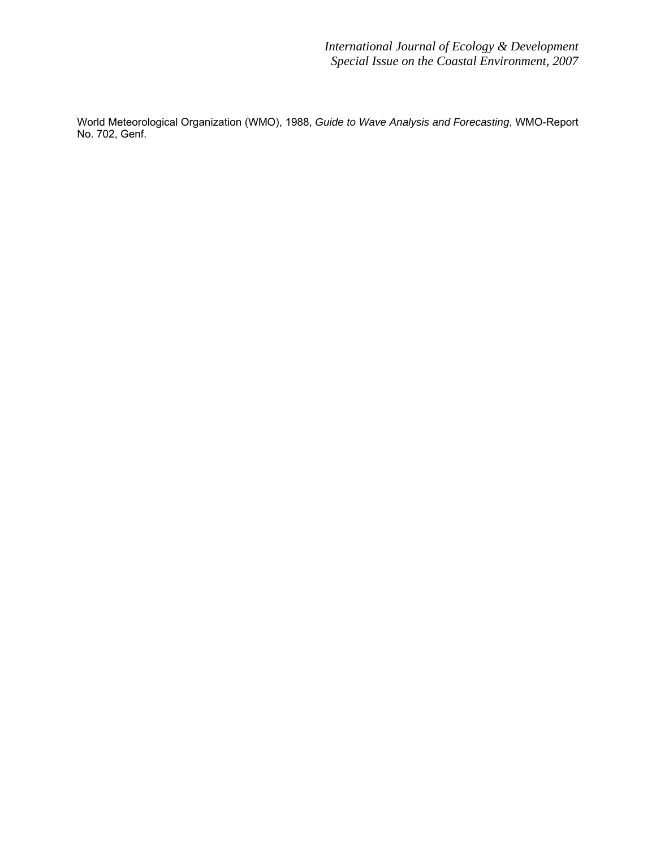World Meteorological Organization (WMO), 1988, *Guide to Wave Analysis and Forecasting*, WMO-Report No. 702, Genf.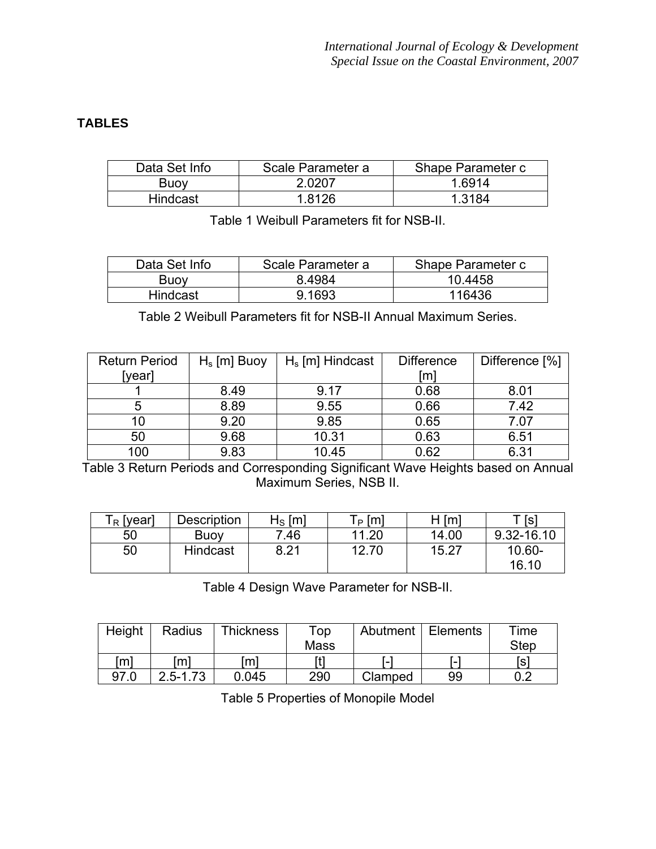# **TABLES**

| Data Set Info   | Scale Parameter a | Shape Parameter c |
|-----------------|-------------------|-------------------|
| <b>Buoy</b>     | 2.0207            | 1 6914            |
| <b>Hindcast</b> | 8126              | l 3184            |

Table 1 Weibull Parameters fit for NSB-II.

| Data Set Info | Scale Parameter a | Shape Parameter c |
|---------------|-------------------|-------------------|
| <b>Buoy</b>   | 84984             | 10.4458           |
| Hindcast      | 9.1693            | 116436            |

Table 2 Weibull Parameters fit for NSB-II Annual Maximum Series.

| <b>Return Period</b> | $H_s$ [m] Buoy | $H_s$ [m] Hindcast | <b>Difference</b> | Difference [%] |
|----------------------|----------------|--------------------|-------------------|----------------|
| [year]               |                |                    | [m]               |                |
|                      | 8.49           | 9.17               | 0.68              | 8.01           |
|                      | 8.89           | 9.55               | 0.66              | 7.42           |
| 10                   | 9.20           | 9.85               | 0.65              | 7.07           |
| 50                   | 9.68           | 10.31              | 0.63              | 6.51           |
| 100                  | 9.83           | 10.45              | 0.62              | 6.31           |

Table 3 Return Periods and Corresponding Significant Wave Heights based on Annual Maximum Series, NSB II.

| $\mathsf{\Gamma}_{\mathsf{R}}$ [year] | <b>Description</b> | ${\sf H}_{\mathsf{S}}\,[{\sf m}]$ | Г <sub>Р</sub> [m] | [m]<br>н | Г [s]           |
|---------------------------------------|--------------------|-----------------------------------|--------------------|----------|-----------------|
| 50                                    | <b>Buoy</b>        | 7.46                              | 11.20              | 14.00    | 9.32-16.10      |
| 50                                    | Hindcast           | 9.21                              | 12.70              | 15.27    | 10.60-<br>16.10 |

Table 4 Design Wave Parameter for NSB-II.

| Height       | Radius       | <b>Thickness</b> | Top         |         | Abutment   Elements | Time        |
|--------------|--------------|------------------|-------------|---------|---------------------|-------------|
|              |              |                  | <b>Mass</b> |         |                     | <b>Step</b> |
| $\mathsf{m}$ | m]           | [m]              |             |         | . –                 | [s]         |
| 97.0         | $2.5 - 1.73$ | 0.045            | 290         | Clamped | 99                  | ስ ን         |

Table 5 Properties of Monopile Model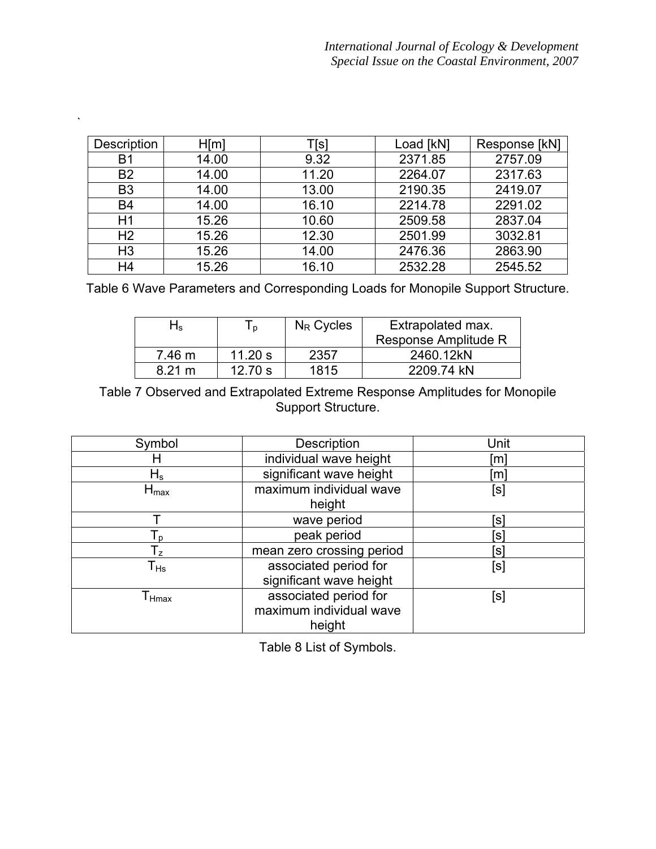| Description    | H[m]  | [[s   | Load [kN] | Response [kN] |
|----------------|-------|-------|-----------|---------------|
| Β1             | 14.00 | 9.32  | 2371.85   | 2757.09       |
| <b>B2</b>      | 14.00 | 11.20 | 2264.07   | 2317.63       |
| B <sub>3</sub> | 14.00 | 13.00 | 2190.35   | 2419.07       |
| B <sub>4</sub> | 14.00 | 16.10 | 2214.78   | 2291.02       |
| H1             | 15.26 | 10.60 | 2509.58   | 2837.04       |
| H <sub>2</sub> | 15.26 | 12.30 | 2501.99   | 3032.81       |
| H <sub>3</sub> | 15.26 | 14.00 | 2476.36   | 2863.90       |
| H <sub>4</sub> | 15.26 | 16.10 | 2532.28   | 2545.52       |

`

Table 6 Wave Parameters and Corresponding Loads for Monopile Support Structure.

| ٦ς               | In.       | $N_R$ Cycles | Extrapolated max.    |
|------------------|-----------|--------------|----------------------|
|                  |           |              | Response Amplitude R |
| 7.46 m           | 11.20 s   | 2357         | 2460.12kN            |
| $8.21 \text{ m}$ | 12.70 $s$ | 1815         | 2209.74 kN           |

Table 7 Observed and Extrapolated Extreme Response Amplitudes for Monopile Support Structure.

| Symbol                       | Description                                                | Unit         |
|------------------------------|------------------------------------------------------------|--------------|
| H                            | individual wave height                                     | [m]          |
| ${\sf H}_{{\sf s}}$          | significant wave height                                    | [m]          |
| ${\sf H}_{\sf max}$          | maximum individual wave<br>height                          | [s]          |
|                              | wave period                                                | ์sl          |
| ${\mathsf T}_{\sf p}$        | peak period                                                | $\mathsf{s}$ |
| $\mathsf{T}_{\mathsf{z}}$    | mean zero crossing period                                  | ์ร           |
| $\mathsf{T}_{\mathsf{Hs}}$   | associated period for<br>significant wave height           | [s]          |
| $\mathsf{T}_{\mathsf{Hmax}}$ | associated period for<br>maximum individual wave<br>height | [s]          |

Table 8 List of Symbols.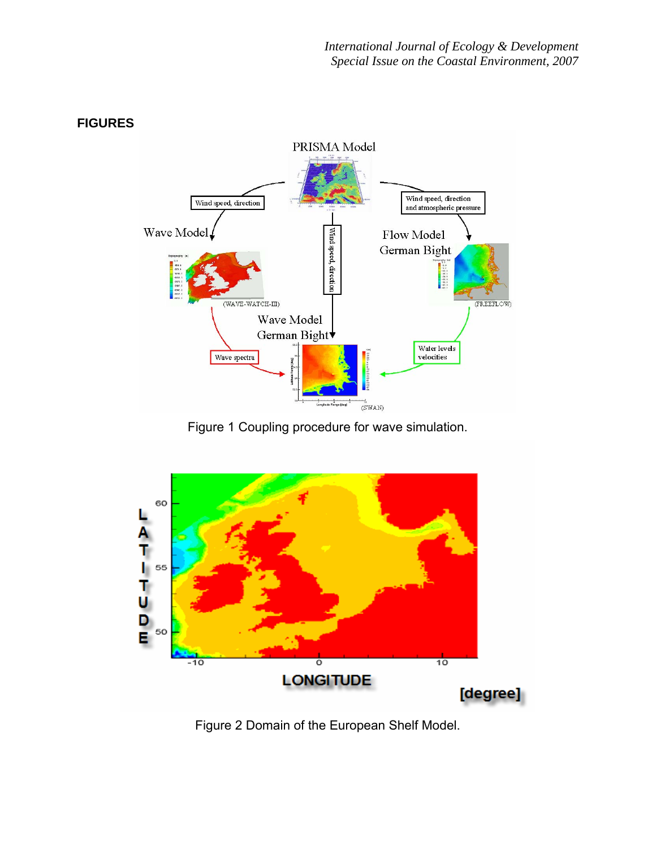

Figure 1 Coupling procedure for wave simulation.



Figure 2 Domain of the European Shelf Model.

# **FIGURES**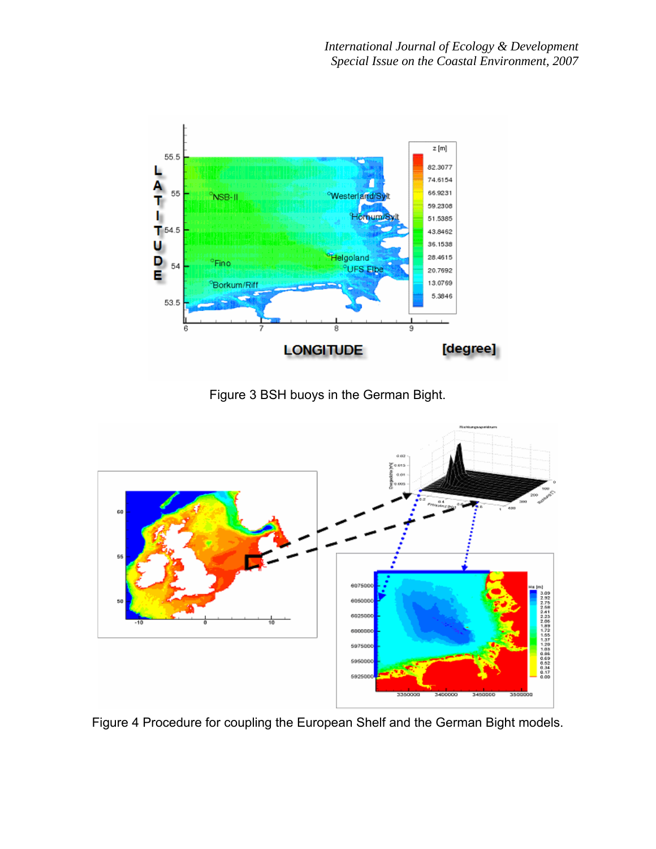

Figure 3 BSH buoys in the German Bight.



Figure 4 Procedure for coupling the European Shelf and the German Bight models.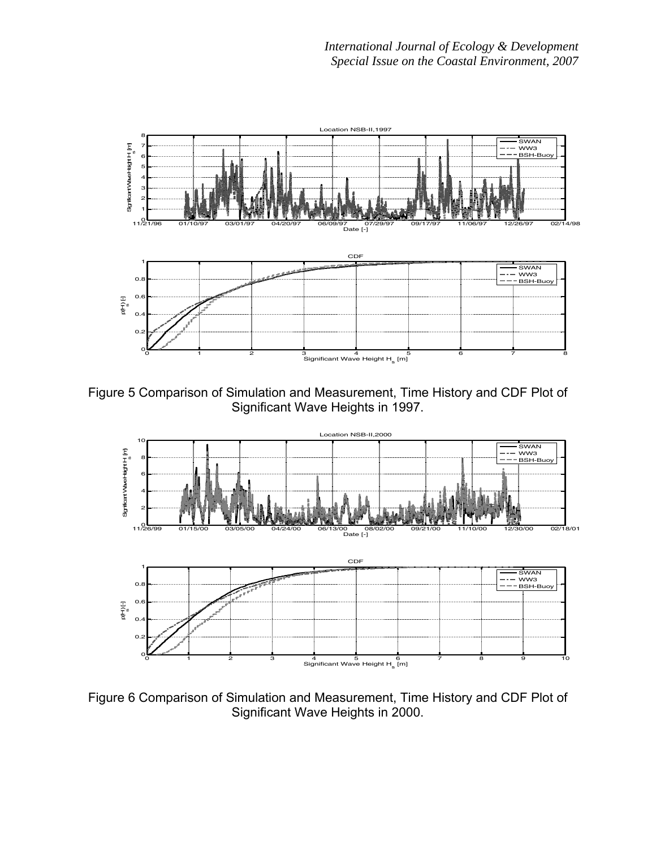

Figure 5 Comparison of Simulation and Measurement, Time History and CDF Plot of Significant Wave Heights in 1997.



Figure 6 Comparison of Simulation and Measurement, Time History and CDF Plot of Significant Wave Heights in 2000.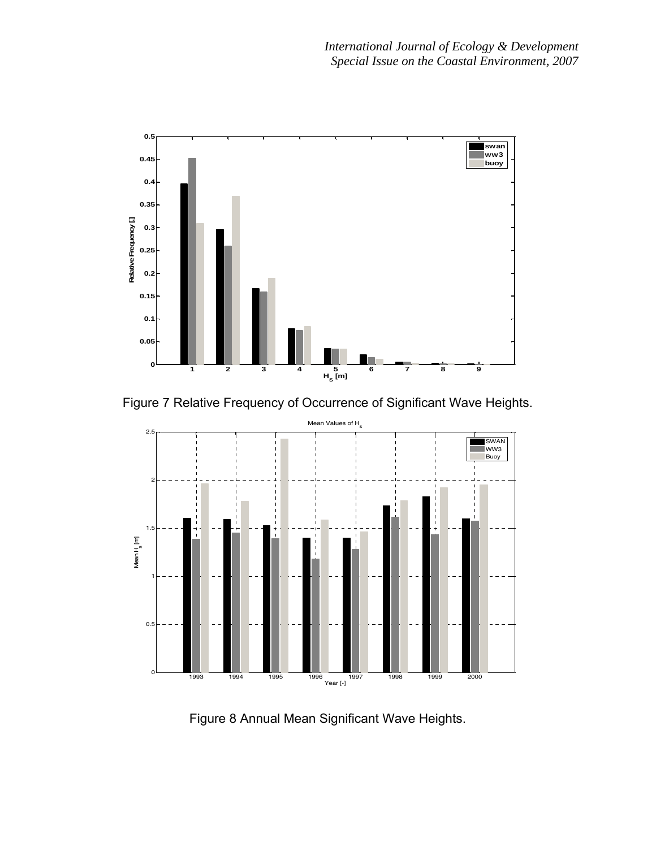

Figure 7 Relative Frequency of Occurrence of Significant Wave Heights.



Figure 8 Annual Mean Significant Wave Heights.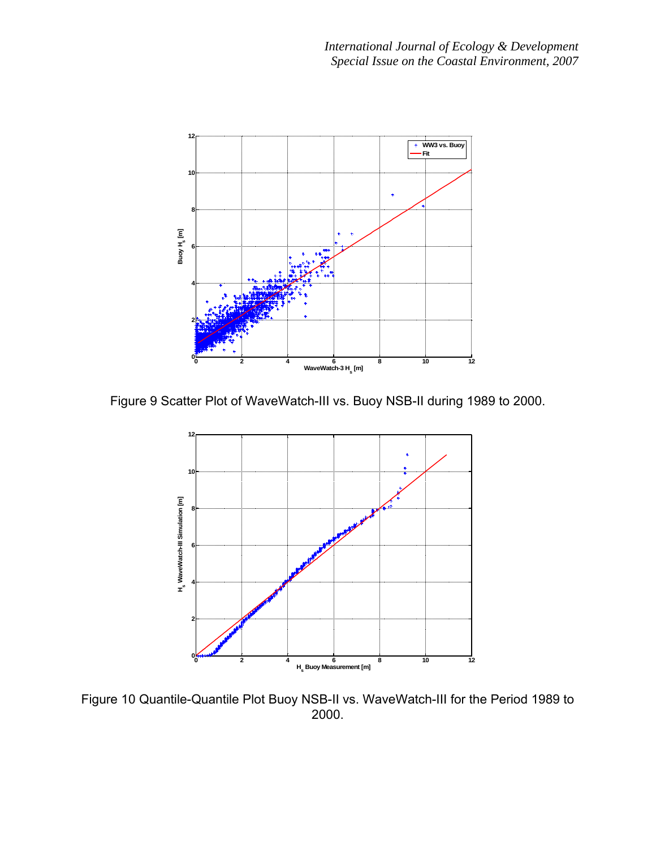

Figure 9 Scatter Plot of WaveWatch-III vs. Buoy NSB-II during 1989 to 2000.



Figure 10 Quantile-Quantile Plot Buoy NSB-II vs. WaveWatch-III for the Period 1989 to 2000.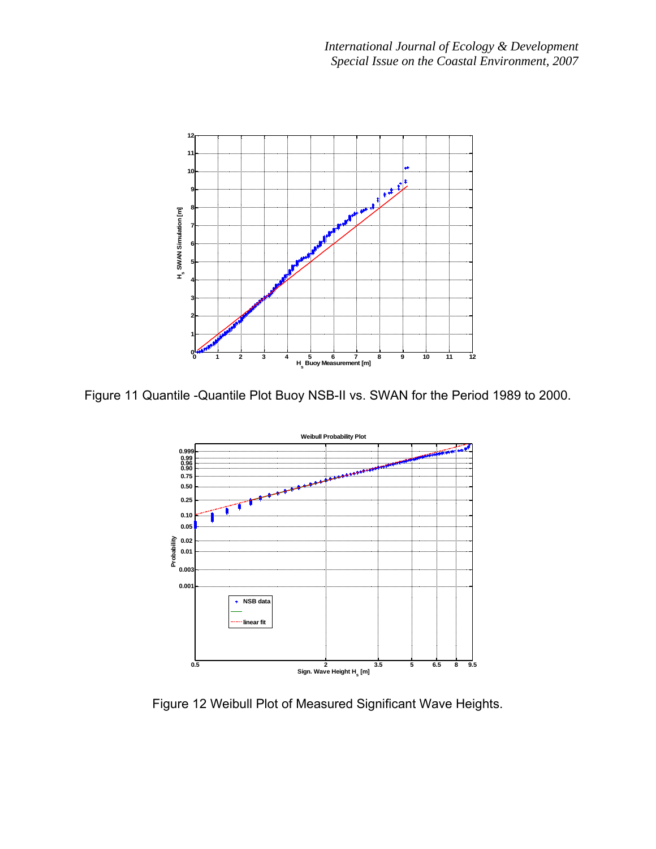

Figure 11 Quantile -Quantile Plot Buoy NSB-II vs. SWAN for the Period 1989 to 2000.



Figure 12 Weibull Plot of Measured Significant Wave Heights.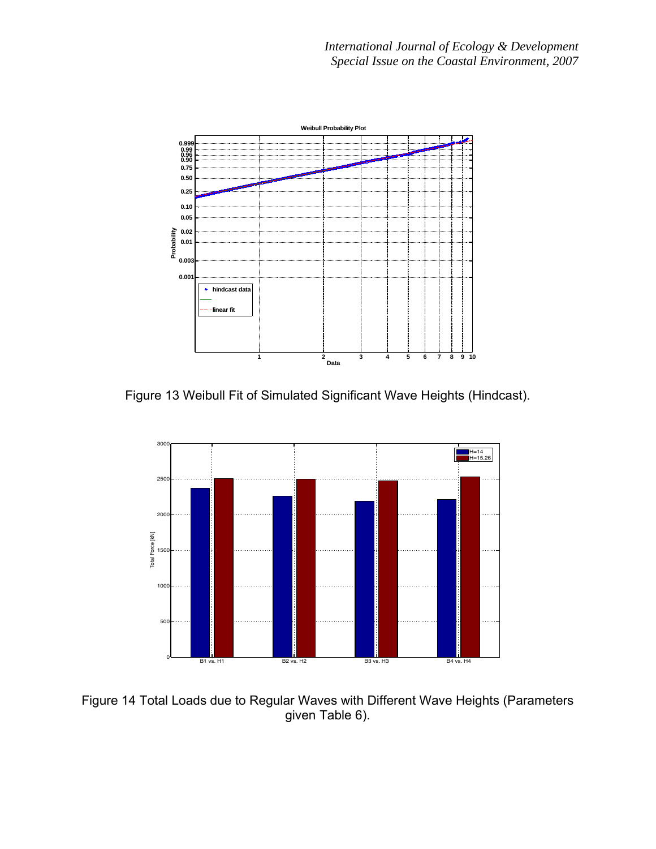

Figure 13 Weibull Fit of Simulated Significant Wave Heights (Hindcast).



Figure 14 Total Loads due to Regular Waves with Different Wave Heights (Parameters given Table 6).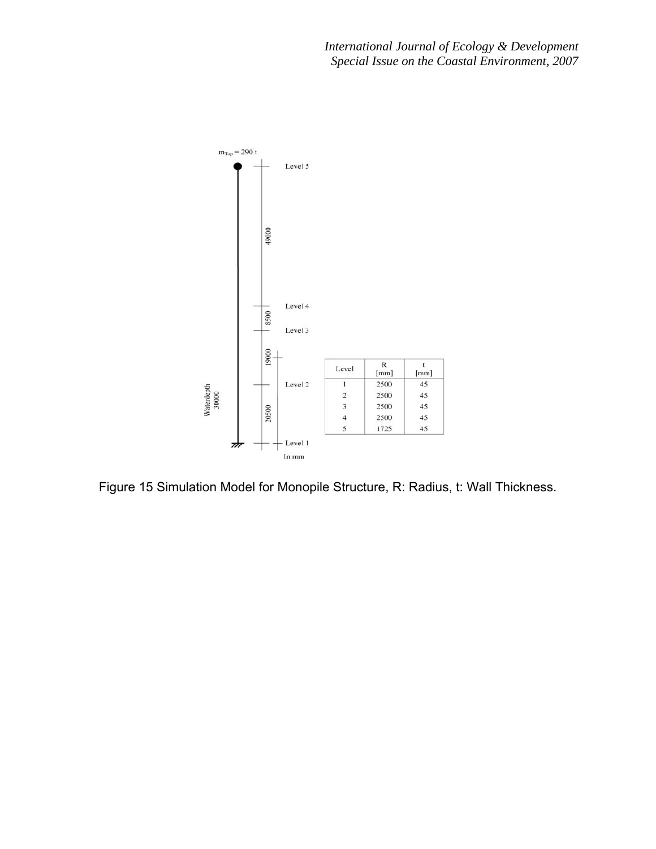

Figure 15 Simulation Model for Monopile Structure, R: Radius, t: Wall Thickness.